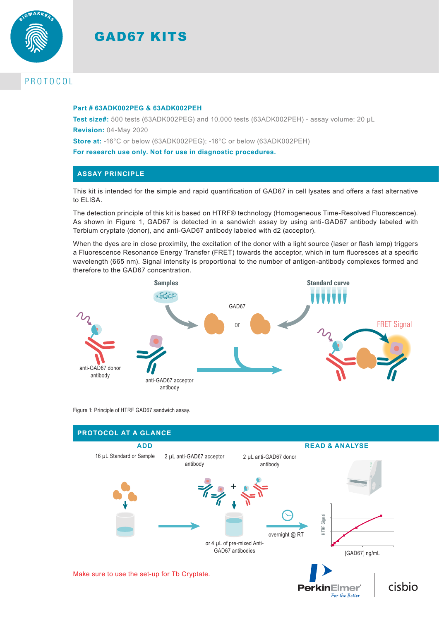



# PROTOCOL

#### **Part # 63ADK002PEG & 63ADK002PEH**

**Test size#:** 500 tests (63ADK002PEG) and 10,000 tests (63ADK002PEH) - assay volume: 20 µL **Revision:** 04-May 2020

**Store at:** -16°C or below (63ADK002PEG); -16°C or below (63ADK002PEH)

**For research use only. Not for use in diagnostic procedures.**

### **ASSAY PRINCIPLE**

This kit is intended for the simple and rapid quantification of GAD67 in cell lysates and offers a fast alternative to ELISA.

The detection principle of this kit is based on HTRF® technology (Homogeneous Time-Resolved Fluorescence). As shown in Figure 1, GAD67 is detected in a sandwich assay by using anti-GAD67 antibody labeled with Terbium cryptate (donor), and anti-GAD67 antibody labeled with d2 (acceptor).

When the dyes are in close proximity, the excitation of the donor with a light source (laser or flash lamp) triggers a Fluorescence Resonance Energy Transfer (FRET) towards the acceptor, which in turn fluoresces at a specific wavelength (665 nm). Signal intensity is proportional to the number of antigen-antibody complexes formed and therefore to the GAD67 concentration.



Figure 1: Principle of HTRF GAD67 sandwich assay.

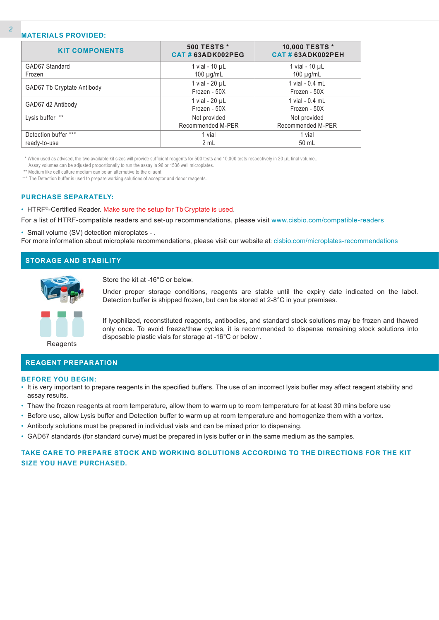#### **MATERIALS PROVIDED:**

| <b>KIT COMPONENTS</b>      | <b>500 TESTS *</b><br>CAT#63ADK002PEG | 10,000 TESTS *<br>CAT#63ADK002PEH |
|----------------------------|---------------------------------------|-----------------------------------|
| GAD67 Standard             | 1 vial - 10 µL                        | 1 vial - $10 \mu L$               |
| Frozen                     | 100 $\mu$ g/mL                        | 100 $\mu$ g/mL                    |
|                            | 1 vial - 20 µL                        | 1 vial - 0.4 mL                   |
| GAD67 Tb Cryptate Antibody | Frozen - 50X                          | Frozen - 50X                      |
|                            | 1 vial - 20 µL                        | 1 vial - 0.4 mL                   |
| GAD67 d2 Antibody          | Frozen - 50X                          | Frozen - 50X                      |
| Lysis buffer **            | Not provided                          | Not provided                      |
|                            | Recommended M-PER                     | Recommended M-PER                 |
| Detection buffer ***       | 1 vial                                | 1 vial                            |
| ready-to-use               | 2 mL                                  | 50 mL                             |

\* When used as advised, the two available kit sizes will provide sufficient reagents for 500 tests and 10,000 tests respectively in 20 µL final volume..

Assay volumes can be adjusted proportionally to run the assay in 96 or 1536 well microplates.

\*\* Medium like cell culture medium can be an alternative to the diluent.

\*\*\* The Detection buffer is used to prepare working solutions of acceptor and donor reagents.

#### **PURCHASE SEPARATELY:**

• HTRF®-Certified Reader. Make sure the setup for Tb Cryptate is used.

For a list of HTRF-compatible readers and set-up recommendations, please visit www.cisbio.com/compatible-readers

• Small volume (SV) detection microplates - .

For more information about microplate recommendations, please visit our website at: cisbio.com/microplates-recommendations

| <b>STORAGE AND STABILITY</b> |  |
|------------------------------|--|
|------------------------------|--|



Store the kit at -16°C or below.

Under proper storage conditions, reagents are stable until the expiry date indicated on the label. Detection buffer is shipped frozen, but can be stored at 2-8°C in your premises.



If lyophilized, reconstituted reagents, antibodies, and standard stock solutions may be frozen and thawed only once. To avoid freeze/thaw cycles, it is recommended to dispense remaining stock solutions into disposable plastic vials for storage at -16°C or below .

Reagents

## **REAGENT PREPARATION**

### **BEFORE YOU BEGIN:**

- It is very important to prepare reagents in the specified buffers. The use of an incorrect lysis buffer may affect reagent stability and assay results.
- Thaw the frozen reagents at room temperature, allow them to warm up to room temperature for at least 30 mins before use
- Before use, allow Lysis buffer and Detection buffer to warm up at room temperature and homogenize them with a vortex.
- Antibody solutions must be prepared in individual vials and can be mixed prior to dispensing.
- GAD67 standards (for standard curve) must be prepared in lysis buffer or in the same medium as the samples.

# **TAKE CARE TO PREPARE STOCK AND WORKING SOLUTIONS ACCORDING TO THE DIRECTIONS FOR THE KIT SIZE YOU HAVE PURCHASED.**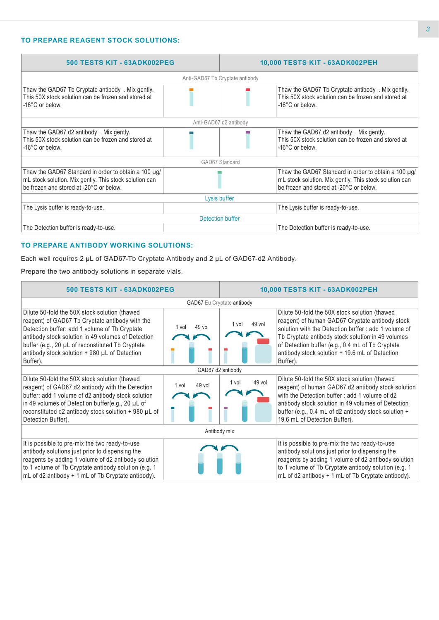# **TO PREPARE REAGENT STOCK SOLUTIONS:**

| 500 TESTS KIT - 63ADK002PEG                                                                                                                               |  | 10,000 TESTS KIT - 63ADK002PEH |                                                                                                                                                           |  |
|-----------------------------------------------------------------------------------------------------------------------------------------------------------|--|--------------------------------|-----------------------------------------------------------------------------------------------------------------------------------------------------------|--|
| Anti-GAD67 Tb Cryptate antibody                                                                                                                           |  |                                |                                                                                                                                                           |  |
| Thaw the GAD67 Tb Cryptate antibody. Mix gently.<br>This 50X stock solution can be frozen and stored at<br>-16°C or below.                                |  |                                | Thaw the GAD67 Tb Cryptate antibody. Mix gently.<br>This 50X stock solution can be frozen and stored at<br>-16°C or below.                                |  |
| Anti-GAD67 d2 antibody                                                                                                                                    |  |                                |                                                                                                                                                           |  |
| Thaw the GAD67 d2 antibody . Mix gently.<br>This 50X stock solution can be frozen and stored at<br>-16°C or below.                                        |  |                                | Thaw the GAD67 d2 antibody . Mix gently.<br>This 50X stock solution can be frozen and stored at<br>-16°C or below.                                        |  |
| GAD67 Standard                                                                                                                                            |  |                                |                                                                                                                                                           |  |
| Thaw the GAD67 Standard in order to obtain a 100 µg/<br>mL stock solution. Mix gently. This stock solution can<br>be frozen and stored at -20°C or below. |  |                                | Thaw the GAD67 Standard in order to obtain a 100 µg/<br>mL stock solution. Mix gently. This stock solution can<br>be frozen and stored at -20°C or below. |  |
| Lysis buffer                                                                                                                                              |  |                                |                                                                                                                                                           |  |
| The Lysis buffer is ready-to-use.                                                                                                                         |  |                                | The Lysis buffer is ready-to-use.                                                                                                                         |  |
| Detection buffer                                                                                                                                          |  |                                |                                                                                                                                                           |  |
| The Detection buffer is ready-to-use.                                                                                                                     |  |                                | The Detection buffer is ready-to-use.                                                                                                                     |  |

### **TO PREPARE ANTIBODY WORKING SOLUTIONS:**

Each well requires 2 µL of GAD67-Tb Cryptate Antibody and 2 µL of GAD67-d2 Antibody.

Prepare the two antibody solutions in separate vials.

| 500 TESTS KIT - 63ADK002PEG                                                                                                                                                                                                                                                                                              |                 |                 | 10,000 TESTS KIT - 63ADK002PEH                                                                                                                                                                                                                                                                                                 |  |  |  |
|--------------------------------------------------------------------------------------------------------------------------------------------------------------------------------------------------------------------------------------------------------------------------------------------------------------------------|-----------------|-----------------|--------------------------------------------------------------------------------------------------------------------------------------------------------------------------------------------------------------------------------------------------------------------------------------------------------------------------------|--|--|--|
| GAD67 Eu Cryptate antibody                                                                                                                                                                                                                                                                                               |                 |                 |                                                                                                                                                                                                                                                                                                                                |  |  |  |
| Dilute 50-fold the 50X stock solution (thawed<br>reagent) of GAD67 Tb Cryptate antibody with the<br>Detection buffer: add 1 volume of Tb Cryptate<br>antibody stock solution in 49 volumes of Detection<br>buffer (e.g., 20 µL of reconstituted Tb Cryptate<br>antibody stock solution + 980 µL of Detection<br>Buffer). | 49 vol<br>1 vol | 49 vol<br>1 vol | Dilute 50-fold the 50X stock solution (thawed<br>reagent) of human GAD67 Cryptate antibody stock<br>solution with the Detection buffer: add 1 volume of<br>Tb Cryptate antibody stock solution in 49 volumes<br>of Detection buffer (e.g., 0.4 mL of Tb Cryptate<br>antibody stock solution + 19.6 mL of Detection<br>Buffer). |  |  |  |
| GAD67 d2 antibody                                                                                                                                                                                                                                                                                                        |                 |                 |                                                                                                                                                                                                                                                                                                                                |  |  |  |
| Dilute 50-fold the 50X stock solution (thawed<br>reagent) of GAD67 d2 antibody with the Detection<br>buffer: add 1 volume of d2 antibody stock solution<br>in 49 volumes of Detection buffer(e.g., 20 µL of<br>reconstituted d2 antibody stock solution + 980 µL of<br>Detection Buffer).                                | 49 vol<br>1 vol | 49 vol<br>1 vol | Dilute 50-fold the 50X stock solution (thawed<br>reagent) of human GAD67 d2 antibody stock solution<br>with the Detection buffer: add 1 volume of d2<br>antibody stock solution in 49 volumes of Detection<br>buffer (e.g., 0.4 mL of d2 antibody stock solution +<br>19.6 mL of Detection Buffer).                            |  |  |  |
| Antibody mix                                                                                                                                                                                                                                                                                                             |                 |                 |                                                                                                                                                                                                                                                                                                                                |  |  |  |
| It is possible to pre-mix the two ready-to-use<br>antibody solutions just prior to dispensing the<br>reagents by adding 1 volume of d2 antibody solution<br>to 1 volume of Tb Cryptate antibody solution (e.g. 1<br>mL of d2 antibody + 1 mL of Tb Cryptate antibody).                                                   |                 |                 | It is possible to pre-mix the two ready-to-use<br>antibody solutions just prior to dispensing the<br>reagents by adding 1 volume of d2 antibody solution<br>to 1 volume of Tb Cryptate antibody solution (e.g. 1<br>mL of d2 antibody + 1 mL of Tb Cryptate antibody).                                                         |  |  |  |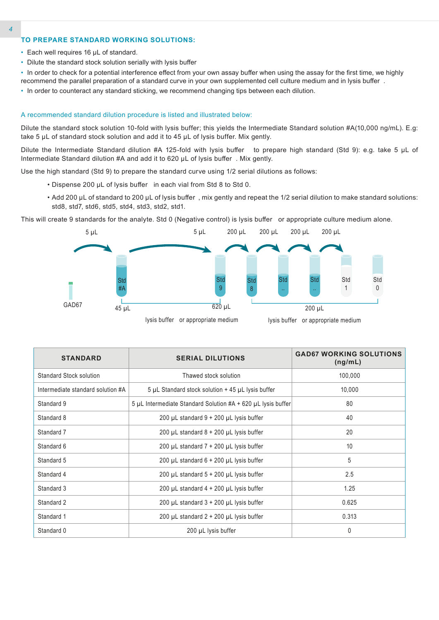#### **TO PREPARE STANDARD WORKING SOLUTIONS:**

- Each well requires 16 µL of standard.
- Dilute the standard stock solution serially with lysis buffer

• In order to check for a potential interference effect from your own assay buffer when using the assay for the first time, we highly recommend the parallel preparation of a standard curve in your own supplemented cell culture medium and in lysis buffer .

• In order to counteract any standard sticking, we recommend changing tips between each dilution.

#### A recommended standard dilution procedure is listed and illustrated below:

Dilute the standard stock solution 10-fold with lysis buffer; this yields the Intermediate Standard solution #A(10,000 ng/mL). E.g: take 5 µL of standard stock solution and add it to 45 µL of lysis buffer. Mix gently.

Dilute the Intermediate Standard dilution #A 125-fold with lysis buffer to prepare high standard (Std 9): e.g. take 5 µL of Intermediate Standard dilution #A and add it to 620 µL of lysis buffer . Mix gently.

Use the high standard (Std 9) to prepare the standard curve using 1/2 serial dilutions as follows:

- Dispense 200 µL of lysis buffer in each vial from Std 8 to Std 0.
- Add 200 µL of standard to 200 µL of lysis buffer , mix gently and repeat the 1/2 serial dilution to make standard solutions: std8, std7, std6, std5, std4, std3, std2, std1.

This will create 9 standards for the analyte. Std 0 (Negative control) is lysis buffer or appropriate culture medium alone.



| <b>STANDARD</b>                   | <b>SERIAL DILUTIONS</b>                                                | <b>GAD67 WORKING SOLUTIONS</b><br>(ng/mL) |
|-----------------------------------|------------------------------------------------------------------------|-------------------------------------------|
| Standard Stock solution           | Thawed stock solution                                                  | 100,000                                   |
| Intermediate standard solution #A | 5 µL Standard stock solution + 45 µL lysis buffer                      | 10,000                                    |
| Standard 9                        | $5 \mu L$ Intermediate Standard Solution #A + 620 $\mu L$ lysis buffer | 80                                        |
| Standard 8                        | 200 µL standard $9 + 200$ µL lysis buffer                              | 40                                        |
| Standard 7                        | 200 µL standard $8 + 200$ µL lysis buffer                              | 20                                        |
| Standard 6                        | 200 µL standard $7 + 200$ µL lysis buffer                              | 10                                        |
| Standard 5                        | 200 µL standard $6 + 200$ µL lysis buffer                              | 5                                         |
| Standard 4                        | 200 $\mu$ L standard 5 + 200 $\mu$ L lysis buffer                      | 2.5                                       |
| Standard 3                        | 200 $\mu$ L standard 4 + 200 $\mu$ L lysis buffer                      | 1.25                                      |
| Standard 2                        | 200 $\mu$ L standard 3 + 200 $\mu$ L lysis buffer                      | 0.625                                     |
| Standard 1                        | 200 $\mu$ L standard 2 + 200 $\mu$ L lysis buffer                      | 0.313                                     |
| Standard 0                        | 200 µL lysis buffer                                                    | 0                                         |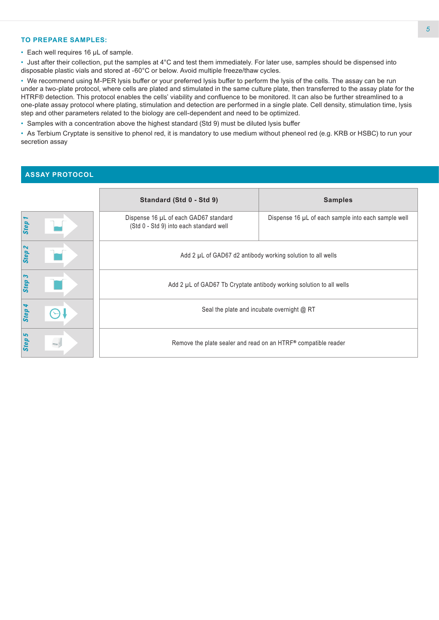#### **TO PREPARE SAMPLES:**

• Each well requires 16 µL of sample.

• Just after their collection, put the samples at 4°C and test them immediately. For later use, samples should be dispensed into disposable plastic vials and stored at -60°C or below. Avoid multiple freeze/thaw cycles.

• We recommend using M-PER lysis buffer or your preferred lysis buffer to perform the lysis of the cells. The assay can be run under a two-plate protocol, where cells are plated and stimulated in the same culture plate, then transferred to the assay plate for the HTRF® detection. This protocol enables the cells' viability and confluence to be monitored. It can also be further streamlined to a one-plate assay protocol where plating, stimulation and detection are performed in a single plate. Cell density, stimulation time, lysis step and other parameters related to the biology are cell-dependent and need to be optimized.

• Samples with a concentration above the highest standard (Std 9) must be diluted lysis buffer

• As Terbium Cryptate is sensitive to phenol red, it is mandatory to use medium without pheneol red (e.g. KRB or HSBC) to run your secretion assay

# **ASSAY PROTOCOL**

|                                   | Standard (Std 0 - Std 9)                                                         | <b>Samples</b>                                      |  |  |  |
|-----------------------------------|----------------------------------------------------------------------------------|-----------------------------------------------------|--|--|--|
| Step                              | Dispense 16 µL of each GAD67 standard<br>(Std 0 - Std 9) into each standard well | Dispense 16 µL of each sample into each sample well |  |  |  |
| $\boldsymbol{\mathsf{N}}$<br>Step | Add 2 µL of GAD67 d2 antibody working solution to all wells                      |                                                     |  |  |  |
| Step 3                            | Add 2 µL of GAD67 Tb Cryptate antibody working solution to all wells             |                                                     |  |  |  |
| Step 4                            | Seal the plate and incubate overnight @ RT                                       |                                                     |  |  |  |
| Step 5                            | Remove the plate sealer and read on an HTRF® compatible reader                   |                                                     |  |  |  |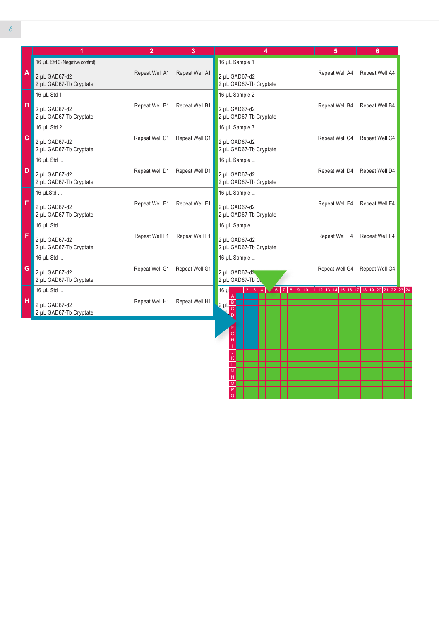| 16 µL Std 0 (Negative control)<br>16 µL Sample 1<br>$\mathbf{A}$<br>Repeat Well A1<br>Repeat Well A1<br>Repeat Well A4<br>2 µL GAD67-d2<br>2 µL GAD67-d2<br>2 µL GAD67-Tb Cryptate<br>2 µL GAD67-Tb Cryptate<br>16 µL Std 1<br>16 µL Sample 2<br>♦<br>Repeat Well B1<br>Repeat Well B1<br>Repeat Well B4<br>2 µL GAD67-d2<br>2 µL GAD67-d2<br>2 µL GAD67-Tb Cryptate<br>2 µL GAD67-Tb Cryptate<br>16 µL Std 2<br>16 µL Sample 3<br>$\mathbf{C}$<br>Repeat Well C1<br>Repeat Well C1<br>Repeat Well C4<br>2 uL GAD67-d2<br>2 uL GAD67-d2<br>2 µL GAD67-Tb Cryptate<br>2 µL GAD67-Tb Cryptate<br>16 µL Std<br>16 µL Sample<br>D<br>Repeat Well D1<br>Repeat Well D1<br>Repeat Well D4<br>2 µL GAD67-d2<br>2 µL GAD67-d2<br>2 µL GAD67-Tb Cryptate<br>2 µL GAD67-Tb Cryptate<br>16 µLStd<br>16 µL Sample<br>Е<br>Repeat Well E1<br>Repeat Well E1<br>Repeat Well E4<br>2 µL GAD67-d2<br>2 µL GAD67-d2<br>2 µL GAD67-Tb Cryptate<br>2 µL GAD67-Tb Cryptate<br>16 µL Std<br>16 µL Sample<br>F<br>Repeat Well F1<br>Repeat Well F1<br>Repeat Well F4<br>2 µL GAD67-d2<br>2 µL GAD67-d2<br>2 µL GAD67-Tb Cryptate<br>2 µL GAD67-Tb Cryptate<br>16 µL Std<br>16 µL Sample<br>G<br>Repeat Well G1<br>Repeat Well G1<br>Repeat Well G4<br>2 µL GAD67-d2<br>2 µL GAD67-d2<br>2 µL GAD67-Tb Cryptate<br>2 µL GAD67-Tb C.<br>$1 \mid 2 \mid 3 \mid 4 \mid \sqrt{6} \mid 7 \mid 8 \mid 9 \mid 10 \mid 11 \mid 12 \mid 13 \mid 14 \mid 15 \mid 16 \mid 17 \mid 18 \mid 19 \mid 20 \mid 21 \mid 22 \mid 23 \mid 24$<br>$16 \mu$<br>16 µL Std |   | 1             | $\overline{2}$ | 3              | 4                     | 5 | 6              |
|------------------------------------------------------------------------------------------------------------------------------------------------------------------------------------------------------------------------------------------------------------------------------------------------------------------------------------------------------------------------------------------------------------------------------------------------------------------------------------------------------------------------------------------------------------------------------------------------------------------------------------------------------------------------------------------------------------------------------------------------------------------------------------------------------------------------------------------------------------------------------------------------------------------------------------------------------------------------------------------------------------------------------------------------------------------------------------------------------------------------------------------------------------------------------------------------------------------------------------------------------------------------------------------------------------------------------------------------------------------------------------------------------------------------------------------------------------------------------------------------------------------------------|---|---------------|----------------|----------------|-----------------------|---|----------------|
|                                                                                                                                                                                                                                                                                                                                                                                                                                                                                                                                                                                                                                                                                                                                                                                                                                                                                                                                                                                                                                                                                                                                                                                                                                                                                                                                                                                                                                                                                                                              |   |               |                |                |                       |   | Repeat Well A4 |
|                                                                                                                                                                                                                                                                                                                                                                                                                                                                                                                                                                                                                                                                                                                                                                                                                                                                                                                                                                                                                                                                                                                                                                                                                                                                                                                                                                                                                                                                                                                              |   |               |                |                |                       |   | Repeat Well B4 |
|                                                                                                                                                                                                                                                                                                                                                                                                                                                                                                                                                                                                                                                                                                                                                                                                                                                                                                                                                                                                                                                                                                                                                                                                                                                                                                                                                                                                                                                                                                                              |   |               |                |                |                       |   | Repeat Well C4 |
|                                                                                                                                                                                                                                                                                                                                                                                                                                                                                                                                                                                                                                                                                                                                                                                                                                                                                                                                                                                                                                                                                                                                                                                                                                                                                                                                                                                                                                                                                                                              |   |               |                |                |                       |   | Repeat Well D4 |
|                                                                                                                                                                                                                                                                                                                                                                                                                                                                                                                                                                                                                                                                                                                                                                                                                                                                                                                                                                                                                                                                                                                                                                                                                                                                                                                                                                                                                                                                                                                              |   |               |                |                |                       |   | Repeat Well E4 |
|                                                                                                                                                                                                                                                                                                                                                                                                                                                                                                                                                                                                                                                                                                                                                                                                                                                                                                                                                                                                                                                                                                                                                                                                                                                                                                                                                                                                                                                                                                                              |   |               |                |                |                       |   | Repeat Well F4 |
|                                                                                                                                                                                                                                                                                                                                                                                                                                                                                                                                                                                                                                                                                                                                                                                                                                                                                                                                                                                                                                                                                                                                                                                                                                                                                                                                                                                                                                                                                                                              |   |               |                |                |                       |   | Repeat Well G4 |
| 2 µL GAD67-Tb Cryptate<br>$\overline{\overline{D}}$                                                                                                                                                                                                                                                                                                                                                                                                                                                                                                                                                                                                                                                                                                                                                                                                                                                                                                                                                                                                                                                                                                                                                                                                                                                                                                                                                                                                                                                                          | н | 2 µL GAD67-d2 | Repeat Well H1 | Repeat Well H1 | $2 \mu L \frac{B}{C}$ |   |                |

G H I J K L M N O P Q